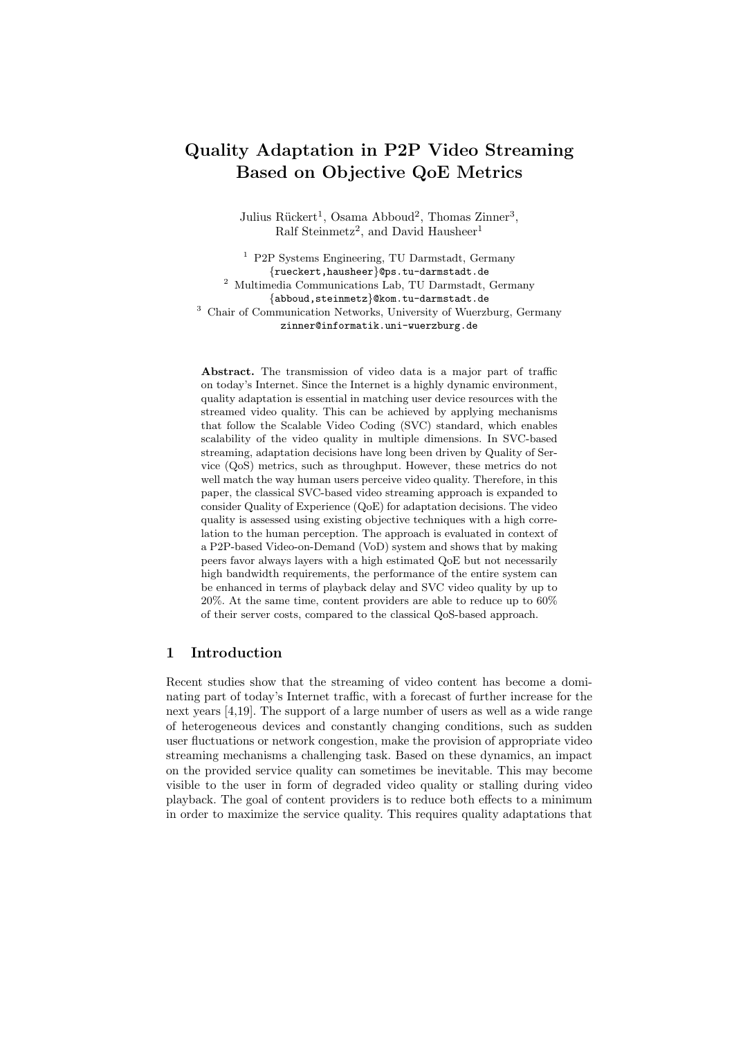# Quality Adaptation in P2P Video Streaming Based on Objective QoE Metrics

Julius Rückert<sup>1</sup>, Osama Abboud<sup>2</sup>, Thomas Zinner<sup>3</sup>, Ralf Steinmetz<sup>2</sup>, and David Hausheer<sup>1</sup>

<sup>1</sup> P2P Systems Engineering, TU Darmstadt, Germany {rueckert,hausheer}@ps.tu-darmstadt.de <sup>2</sup> Multimedia Communications Lab, TU Darmstadt, Germany {abboud,steinmetz}@kom.tu-darmstadt.de <sup>3</sup> Chair of Communication Networks, University of Wuerzburg, Germany zinner@informatik.uni-wuerzburg.de

Abstract. The transmission of video data is a major part of traffic on today's Internet. Since the Internet is a highly dynamic environment, quality adaptation is essential in matching user device resources with the streamed video quality. This can be achieved by applying mechanisms that follow the Scalable Video Coding (SVC) standard, which enables scalability of the video quality in multiple dimensions. In SVC-based streaming, adaptation decisions have long been driven by Quality of Service (QoS) metrics, such as throughput. However, these metrics do not well match the way human users perceive video quality. Therefore, in this paper, the classical SVC-based video streaming approach is expanded to consider Quality of Experience (QoE) for adaptation decisions. The video quality is assessed using existing objective techniques with a high correlation to the human perception. The approach is evaluated in context of a P2P-based Video-on-Demand (VoD) system and shows that by making peers favor always layers with a high estimated QoE but not necessarily high bandwidth requirements, the performance of the entire system can be enhanced in terms of playback delay and SVC video quality by up to 20%. At the same time, content providers are able to reduce up to 60% of their server costs, compared to the classical QoS-based approach.

## 1 Introduction

Recent studies show that the streaming of video content has become a dominating part of today's Internet traffic, with a forecast of further increase for the next years [\[4,](#page-12-0)[19\]](#page-13-0). The support of a large number of users as well as a wide range of heterogeneous devices and constantly changing conditions, such as sudden user fluctuations or network congestion, make the provision of appropriate video streaming mechanisms a challenging task. Based on these dynamics, an impact on the provided service quality can sometimes be inevitable. This may become visible to the user in form of degraded video quality or stalling during video playback. The goal of content providers is to reduce both effects to a minimum in order to maximize the service quality. This requires quality adaptations that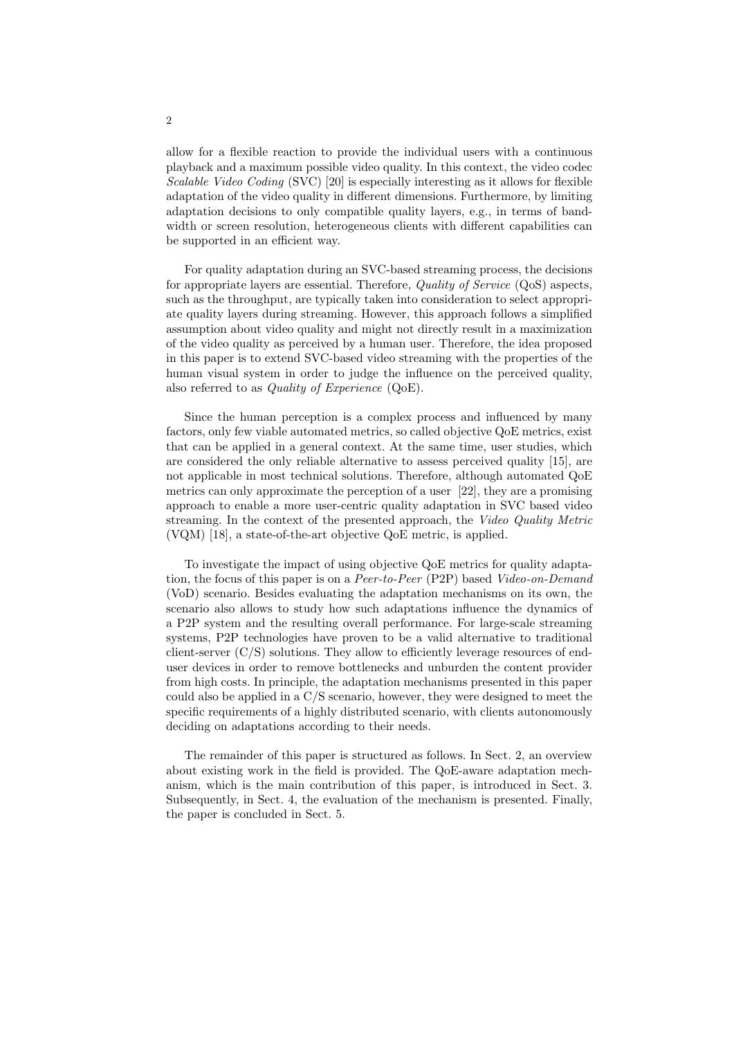allow for a flexible reaction to provide the individual users with a continuous playback and a maximum possible video quality. In this context, the video codec Scalable Video Coding (SVC) [\[20\]](#page-13-1) is especially interesting as it allows for flexible adaptation of the video quality in different dimensions. Furthermore, by limiting adaptation decisions to only compatible quality layers, e.g., in terms of bandwidth or screen resolution, heterogeneous clients with different capabilities can be supported in an efficient way.

For quality adaptation during an SVC-based streaming process, the decisions for appropriate layers are essential. Therefore, Quality of Service (QoS) aspects, such as the throughput, are typically taken into consideration to select appropriate quality layers during streaming. However, this approach follows a simplified assumption about video quality and might not directly result in a maximization of the video quality as perceived by a human user. Therefore, the idea proposed in this paper is to extend SVC-based video streaming with the properties of the human visual system in order to judge the influence on the perceived quality, also referred to as Quality of Experience (QoE).

Since the human perception is a complex process and influenced by many factors, only few viable automated metrics, so called objective QoE metrics, exist that can be applied in a general context. At the same time, user studies, which are considered the only reliable alternative to assess perceived quality [\[15\]](#page-13-2), are not applicable in most technical solutions. Therefore, although automated QoE metrics can only approximate the perception of a user [\[22\]](#page-13-3), they are a promising approach to enable a more user-centric quality adaptation in SVC based video streaming. In the context of the presented approach, the Video Quality Metric (VQM) [\[18\]](#page-13-4), a state-of-the-art objective QoE metric, is applied.

To investigate the impact of using objective QoE metrics for quality adaptation, the focus of this paper is on a *Peer-to-Peer* (P2P) based Video-on-Demand (VoD) scenario. Besides evaluating the adaptation mechanisms on its own, the scenario also allows to study how such adaptations influence the dynamics of a P2P system and the resulting overall performance. For large-scale streaming systems, P2P technologies have proven to be a valid alternative to traditional client-server (C/S) solutions. They allow to efficiently leverage resources of enduser devices in order to remove bottlenecks and unburden the content provider from high costs. In principle, the adaptation mechanisms presented in this paper could also be applied in a C/S scenario, however, they were designed to meet the specific requirements of a highly distributed scenario, with clients autonomously deciding on adaptations according to their needs.

The remainder of this paper is structured as follows. In [Sect. 2,](#page-2-0) an overview about existing work in the field is provided. The QoE-aware adaptation mechanism, which is the main contribution of this paper, is introduced in [Sect. 3.](#page-3-0) Subsequently, in [Sect. 4,](#page-7-0) the evaluation of the mechanism is presented. Finally, the paper is concluded in [Sect. 5.](#page-11-0)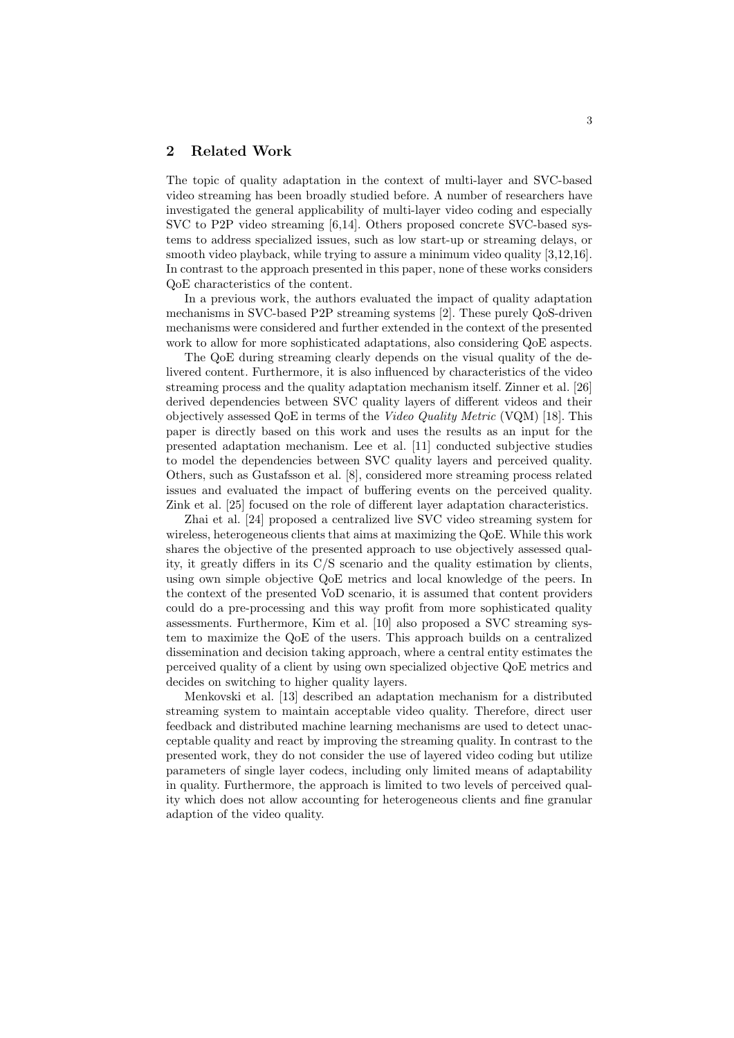### <span id="page-2-0"></span>2 Related Work

The topic of quality adaptation in the context of multi-layer and SVC-based video streaming has been broadly studied before. A number of researchers have investigated the general applicability of multi-layer video coding and especially SVC to P2P video streaming [\[6,](#page-12-1)[14\]](#page-13-5). Others proposed concrete SVC-based systems to address specialized issues, such as low start-up or streaming delays, or smooth video playback, while trying to assure a minimum video quality [\[3,](#page-12-2)[12,](#page-13-6)[16\]](#page-13-7). In contrast to the approach presented in this paper, none of these works considers QoE characteristics of the content.

In a previous work, the authors evaluated the impact of quality adaptation mechanisms in SVC-based P2P streaming systems [\[2\]](#page-12-3). These purely QoS-driven mechanisms were considered and further extended in the context of the presented work to allow for more sophisticated adaptations, also considering QoE aspects.

The QoE during streaming clearly depends on the visual quality of the delivered content. Furthermore, it is also influenced by characteristics of the video streaming process and the quality adaptation mechanism itself. Zinner et al. [\[26\]](#page-13-8) derived dependencies between SVC quality layers of different videos and their objectively assessed QoE in terms of the Video Quality Metric (VQM) [\[18\]](#page-13-4). This paper is directly based on this work and uses the results as an input for the presented adaptation mechanism. Lee et al. [\[11\]](#page-13-9) conducted subjective studies to model the dependencies between SVC quality layers and perceived quality. Others, such as Gustafsson et al. [\[8\]](#page-12-4), considered more streaming process related issues and evaluated the impact of buffering events on the perceived quality. Zink et al. [\[25\]](#page-13-10) focused on the role of different layer adaptation characteristics.

Zhai et al. [\[24\]](#page-13-11) proposed a centralized live SVC video streaming system for wireless, heterogeneous clients that aims at maximizing the QoE. While this work shares the objective of the presented approach to use objectively assessed quality, it greatly differs in its C/S scenario and the quality estimation by clients, using own simple objective QoE metrics and local knowledge of the peers. In the context of the presented VoD scenario, it is assumed that content providers could do a pre-processing and this way profit from more sophisticated quality assessments. Furthermore, Kim et al. [\[10\]](#page-13-12) also proposed a SVC streaming system to maximize the QoE of the users. This approach builds on a centralized dissemination and decision taking approach, where a central entity estimates the perceived quality of a client by using own specialized objective QoE metrics and decides on switching to higher quality layers.

Menkovski et al. [\[13\]](#page-13-13) described an adaptation mechanism for a distributed streaming system to maintain acceptable video quality. Therefore, direct user feedback and distributed machine learning mechanisms are used to detect unacceptable quality and react by improving the streaming quality. In contrast to the presented work, they do not consider the use of layered video coding but utilize parameters of single layer codecs, including only limited means of adaptability in quality. Furthermore, the approach is limited to two levels of perceived quality which does not allow accounting for heterogeneous clients and fine granular adaption of the video quality.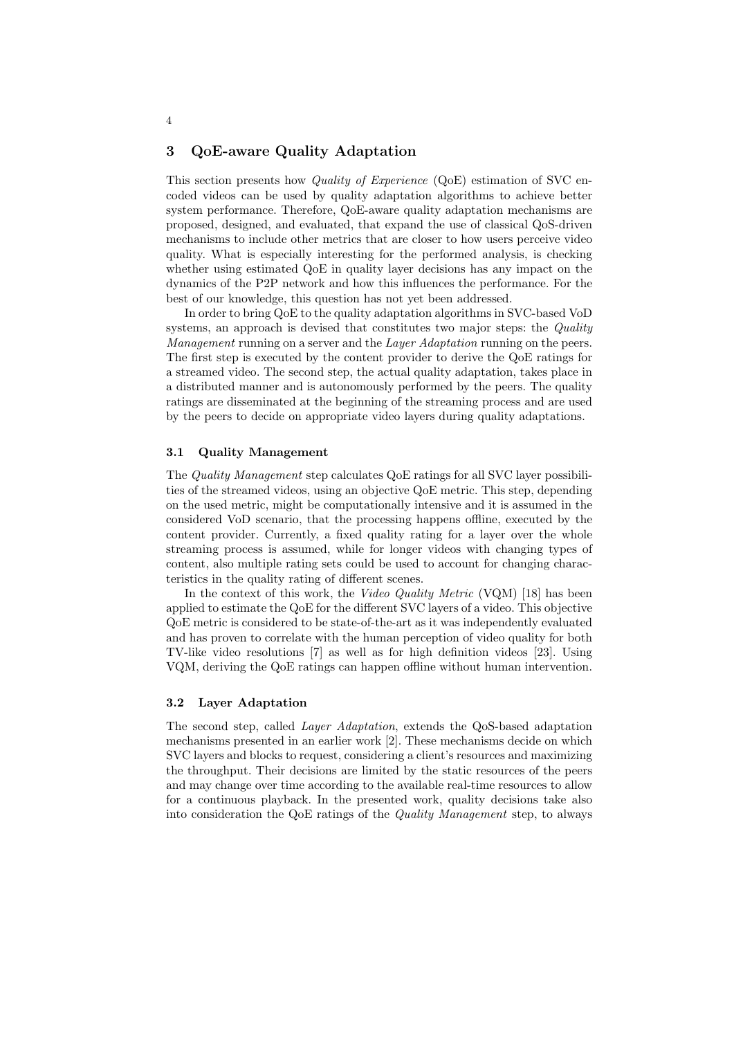## <span id="page-3-0"></span>3 QoE-aware Quality Adaptation

This section presents how *Quality of Experience* (QoE) estimation of SVC encoded videos can be used by quality adaptation algorithms to achieve better system performance. Therefore, QoE-aware quality adaptation mechanisms are proposed, designed, and evaluated, that expand the use of classical QoS-driven mechanisms to include other metrics that are closer to how users perceive video quality. What is especially interesting for the performed analysis, is checking whether using estimated QoE in quality layer decisions has any impact on the dynamics of the P2P network and how this influences the performance. For the best of our knowledge, this question has not yet been addressed.

In order to bring QoE to the quality adaptation algorithms in SVC-based VoD systems, an approach is devised that constitutes two major steps: the *Quality* Management running on a server and the *Layer Adaptation* running on the peers. The first step is executed by the content provider to derive the QoE ratings for a streamed video. The second step, the actual quality adaptation, takes place in a distributed manner and is autonomously performed by the peers. The quality ratings are disseminated at the beginning of the streaming process and are used by the peers to decide on appropriate video layers during quality adaptations.

#### 3.1 Quality Management

The Quality Management step calculates QoE ratings for all SVC layer possibilities of the streamed videos, using an objective QoE metric. This step, depending on the used metric, might be computationally intensive and it is assumed in the considered VoD scenario, that the processing happens offline, executed by the content provider. Currently, a fixed quality rating for a layer over the whole streaming process is assumed, while for longer videos with changing types of content, also multiple rating sets could be used to account for changing characteristics in the quality rating of different scenes.

In the context of this work, the Video Quality Metric (VQM) [\[18\]](#page-13-4) has been applied to estimate the QoE for the different SVC layers of a video. This objective QoE metric is considered to be state-of-the-art as it was independently evaluated and has proven to correlate with the human perception of video quality for both TV-like video resolutions [\[7\]](#page-12-5) as well as for high definition videos [\[23\]](#page-13-14). Using VQM, deriving the QoE ratings can happen offline without human intervention.

#### 3.2 Layer Adaptation

The second step, called Layer Adaptation, extends the QoS-based adaptation mechanisms presented in an earlier work [\[2\]](#page-12-3). These mechanisms decide on which SVC layers and blocks to request, considering a client's resources and maximizing the throughput. Their decisions are limited by the static resources of the peers and may change over time according to the available real-time resources to allow for a continuous playback. In the presented work, quality decisions take also into consideration the QoE ratings of the Quality Management step, to always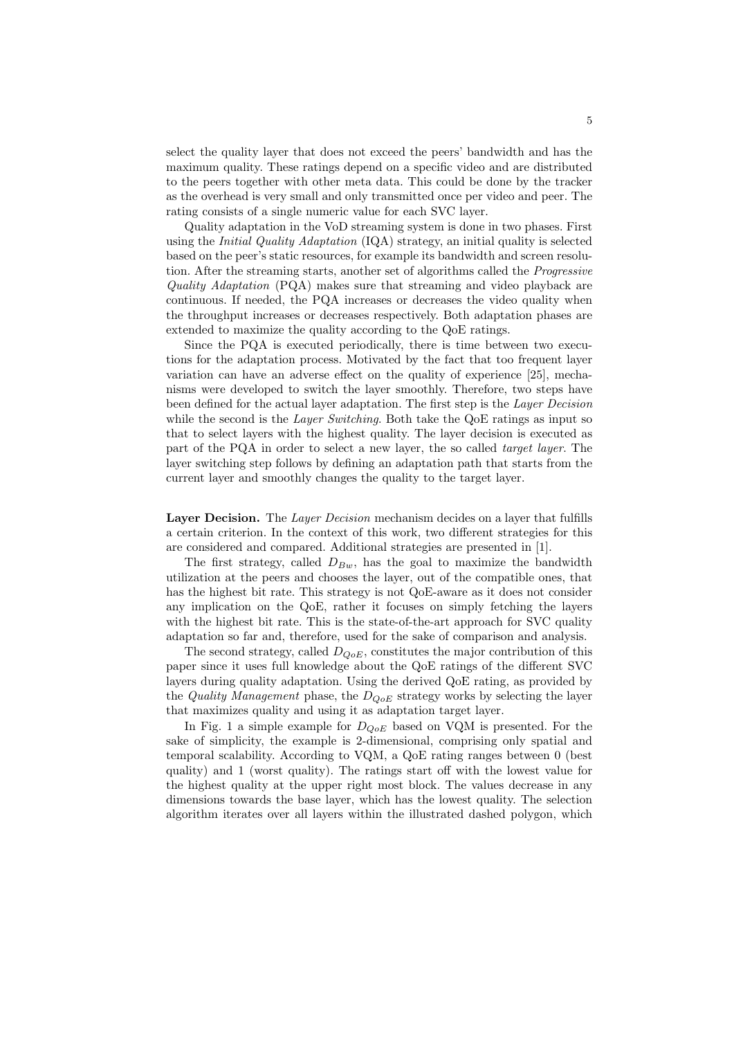select the quality layer that does not exceed the peers' bandwidth and has the maximum quality. These ratings depend on a specific video and are distributed to the peers together with other meta data. This could be done by the tracker as the overhead is very small and only transmitted once per video and peer. The rating consists of a single numeric value for each SVC layer.

Quality adaptation in the VoD streaming system is done in two phases. First using the *Initial Quality Adaptation*  $(IQA)$  strategy, an initial quality is selected based on the peer's static resources, for example its bandwidth and screen resolution. After the streaming starts, another set of algorithms called the Progressive Quality Adaptation (PQA) makes sure that streaming and video playback are continuous. If needed, the PQA increases or decreases the video quality when the throughput increases or decreases respectively. Both adaptation phases are extended to maximize the quality according to the QoE ratings.

Since the PQA is executed periodically, there is time between two executions for the adaptation process. Motivated by the fact that too frequent layer variation can have an adverse effect on the quality of experience [\[25\]](#page-13-10), mechanisms were developed to switch the layer smoothly. Therefore, two steps have been defined for the actual layer adaptation. The first step is the Layer Decision while the second is the *Layer Switching*. Both take the  $QoE$  ratings as input so that to select layers with the highest quality. The layer decision is executed as part of the PQA in order to select a new layer, the so called target layer. The layer switching step follows by defining an adaptation path that starts from the current layer and smoothly changes the quality to the target layer.

Layer Decision. The Layer Decision mechanism decides on a layer that fulfills a certain criterion. In the context of this work, two different strategies for this are considered and compared. Additional strategies are presented in [\[1\]](#page-12-6).

The first strategy, called  $D_{Bw}$ , has the goal to maximize the bandwidth utilization at the peers and chooses the layer, out of the compatible ones, that has the highest bit rate. This strategy is not QoE-aware as it does not consider any implication on the QoE, rather it focuses on simply fetching the layers with the highest bit rate. This is the state-of-the-art approach for SVC quality adaptation so far and, therefore, used for the sake of comparison and analysis.

The second strategy, called  $D_{QoE}$ , constitutes the major contribution of this paper since it uses full knowledge about the QoE ratings of the different SVC layers during quality adaptation. Using the derived QoE rating, as provided by the Quality Management phase, the  $D_{OoE}$  strategy works by selecting the layer that maximizes quality and using it as adaptation target layer.

In [Fig. 1](#page-5-0) a simple example for  $D_{QoE}$  based on VQM is presented. For the sake of simplicity, the example is 2-dimensional, comprising only spatial and temporal scalability. According to VQM, a QoE rating ranges between 0 (best quality) and 1 (worst quality). The ratings start off with the lowest value for the highest quality at the upper right most block. The values decrease in any dimensions towards the base layer, which has the lowest quality. The selection algorithm iterates over all layers within the illustrated dashed polygon, which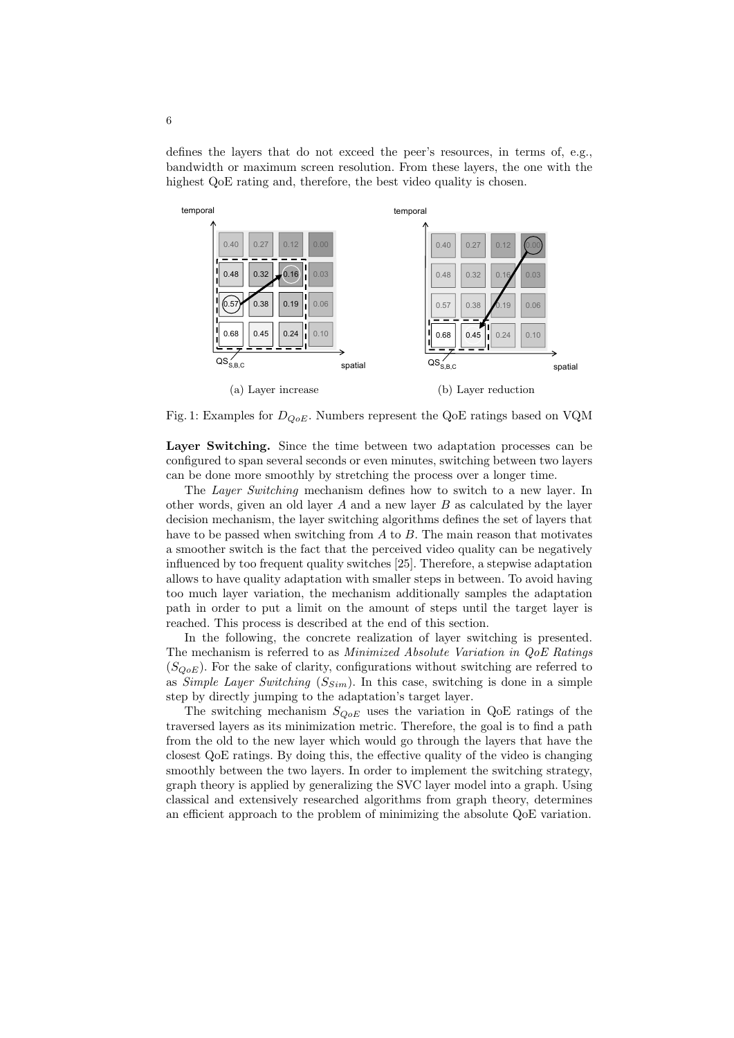defines the layers that do not exceed the peer's resources, in terms of, e.g., bandwidth or maximum screen resolution. From these layers, the one with the highest QoE rating and, therefore, the best video quality is chosen.

<span id="page-5-0"></span>

Fig. 1: Examples for  $D_{OoE}$ . Numbers represent the QoE ratings based on VQM

Layer Switching. Since the time between two adaptation processes can be configured to span several seconds or even minutes, switching between two layers can be done more smoothly by stretching the process over a longer time.

The Layer Switching mechanism defines how to switch to a new layer. In other words, given an old layer  $A$  and a new layer  $B$  as calculated by the layer decision mechanism, the layer switching algorithms defines the set of layers that have to be passed when switching from  $A$  to  $B$ . The main reason that motivates a smoother switch is the fact that the perceived video quality can be negatively influenced by too frequent quality switches [\[25\]](#page-13-10). Therefore, a stepwise adaptation allows to have quality adaptation with smaller steps in between. To avoid having too much layer variation, the mechanism additionally samples the adaptation path in order to put a limit on the amount of steps until the target layer is reached. This process is described at the end of this section.

In the following, the concrete realization of layer switching is presented. The mechanism is referred to as Minimized Absolute Variation in QoE Ratings  $(S_{QoE})$ . For the sake of clarity, configurations without switching are referred to as Simple Layer Switching  $(S_{Sim})$ . In this case, switching is done in a simple step by directly jumping to the adaptation's target layer.

The switching mechanism  $S_{QoE}$  uses the variation in QoE ratings of the traversed layers as its minimization metric. Therefore, the goal is to find a path from the old to the new layer which would go through the layers that have the closest QoE ratings. By doing this, the effective quality of the video is changing smoothly between the two layers. In order to implement the switching strategy, graph theory is applied by generalizing the SVC layer model into a graph. Using classical and extensively researched algorithms from graph theory, determines an efficient approach to the problem of minimizing the absolute QoE variation.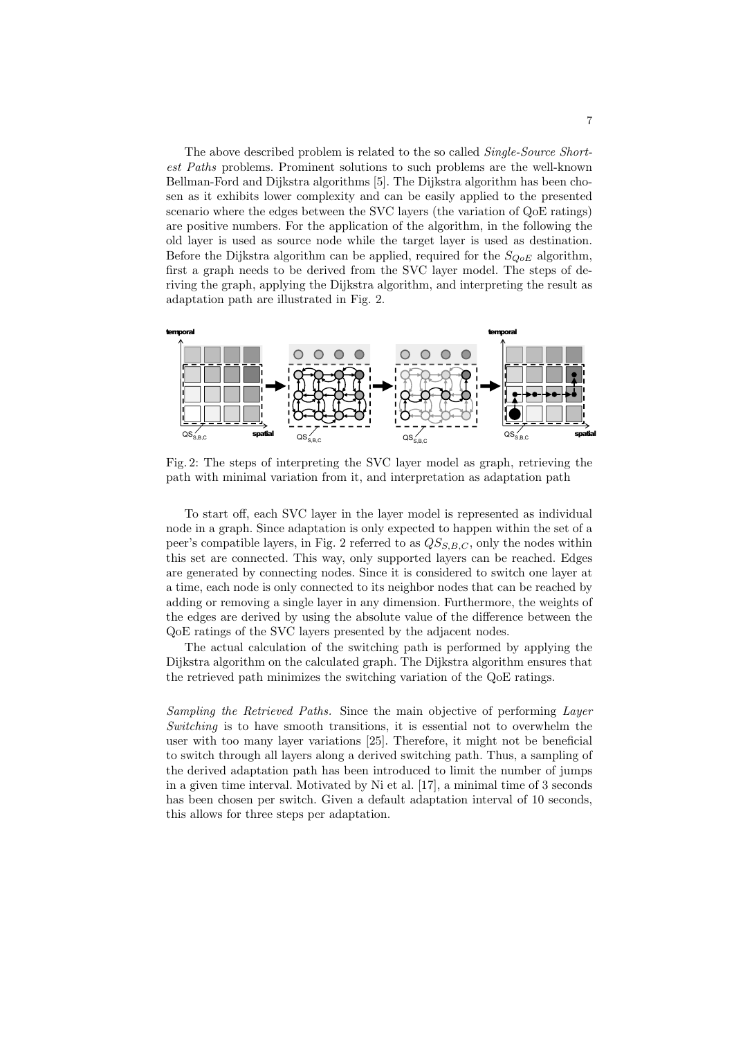The above described problem is related to the so called Single-Source Shortest Paths problems. Prominent solutions to such problems are the well-known Bellman-Ford and Dijkstra algorithms [\[5\]](#page-12-7). The Dijkstra algorithm has been chosen as it exhibits lower complexity and can be easily applied to the presented scenario where the edges between the SVC layers (the variation of QoE ratings) are positive numbers. For the application of the algorithm, in the following the old layer is used as source node while the target layer is used as destination. Before the Dijkstra algorithm can be applied, required for the  $S_{QoE}$  algorithm, first a graph needs to be derived from the SVC layer model. The steps of deriving the graph, applying the Dijkstra algorithm, and interpreting the result as adaptation path are illustrated in [Fig. 2.](#page-6-0)

<span id="page-6-0"></span>

Fig. 2: The steps of interpreting the SVC layer model as graph, retrieving the path with minimal variation from it, and interpretation as adaptation path

To start off, each SVC layer in the layer model is represented as individual node in a graph. Since adaptation is only expected to happen within the set of a peer's compatible layers, in [Fig. 2](#page-6-0) referred to as  $QS_{S,B,C}$ , only the nodes within this set are connected. This way, only supported layers can be reached. Edges are generated by connecting nodes. Since it is considered to switch one layer at a time, each node is only connected to its neighbor nodes that can be reached by adding or removing a single layer in any dimension. Furthermore, the weights of the edges are derived by using the absolute value of the difference between the QoE ratings of the SVC layers presented by the adjacent nodes.

The actual calculation of the switching path is performed by applying the Dijkstra algorithm on the calculated graph. The Dijkstra algorithm ensures that the retrieved path minimizes the switching variation of the QoE ratings.

Sampling the Retrieved Paths. Since the main objective of performing Layer Switching is to have smooth transitions, it is essential not to overwhelm the user with too many layer variations [\[25\]](#page-13-10). Therefore, it might not be beneficial to switch through all layers along a derived switching path. Thus, a sampling of the derived adaptation path has been introduced to limit the number of jumps in a given time interval. Motivated by Ni et al. [\[17\]](#page-13-15), a minimal time of 3 seconds has been chosen per switch. Given a default adaptation interval of 10 seconds, this allows for three steps per adaptation.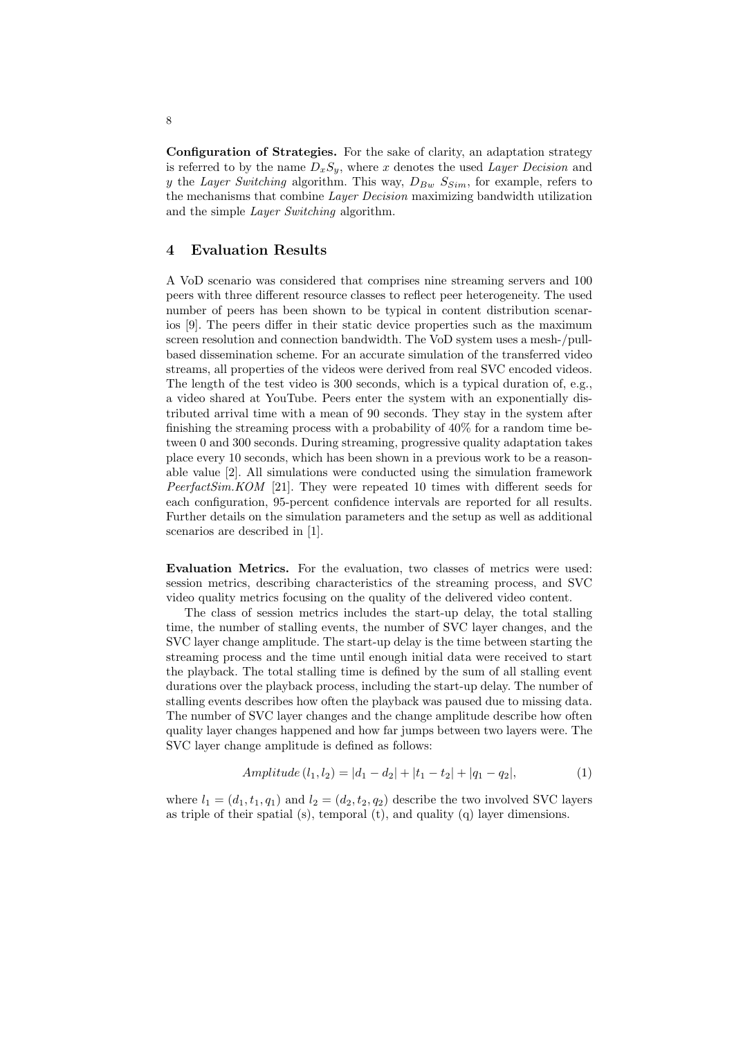Configuration of Strategies. For the sake of clarity, an adaptation strategy is referred to by the name  $D_xS_y$ , where x denotes the used Layer Decision and y the Layer Switching algorithm. This way,  $D_{Bw} S_{Sim}$ , for example, refers to the mechanisms that combine Layer Decision maximizing bandwidth utilization and the simple Layer Switching algorithm.

# <span id="page-7-0"></span>4 Evaluation Results

A VoD scenario was considered that comprises nine streaming servers and 100 peers with three different resource classes to reflect peer heterogeneity. The used number of peers has been shown to be typical in content distribution scenarios [\[9\]](#page-13-16). The peers differ in their static device properties such as the maximum screen resolution and connection bandwidth. The VoD system uses a mesh-/pullbased dissemination scheme. For an accurate simulation of the transferred video streams, all properties of the videos were derived from real SVC encoded videos. The length of the test video is 300 seconds, which is a typical duration of, e.g., a video shared at YouTube. Peers enter the system with an exponentially distributed arrival time with a mean of 90 seconds. They stay in the system after finishing the streaming process with a probability of 40% for a random time between 0 and 300 seconds. During streaming, progressive quality adaptation takes place every 10 seconds, which has been shown in a previous work to be a reasonable value [\[2\]](#page-12-3). All simulations were conducted using the simulation framework PeerfactSim.KOM [\[21\]](#page-13-17). They were repeated 10 times with different seeds for each configuration, 95-percent confidence intervals are reported for all results. Further details on the simulation parameters and the setup as well as additional scenarios are described in [\[1\]](#page-12-6).

Evaluation Metrics. For the evaluation, two classes of metrics were used: session metrics, describing characteristics of the streaming process, and SVC video quality metrics focusing on the quality of the delivered video content.

The class of session metrics includes the start-up delay, the total stalling time, the number of stalling events, the number of SVC layer changes, and the SVC layer change amplitude. The start-up delay is the time between starting the streaming process and the time until enough initial data were received to start the playback. The total stalling time is defined by the sum of all stalling event durations over the playback process, including the start-up delay. The number of stalling events describes how often the playback was paused due to missing data. The number of SVC layer changes and the change amplitude describe how often quality layer changes happened and how far jumps between two layers were. The SVC layer change amplitude is defined as follows:

$$
Amplitude (l_1, l_2) = |d_1 - d_2| + |t_1 - t_2| + |q_1 - q_2|,
$$
\n<sup>(1)</sup>

where  $l_1 = (d_1, t_1, q_1)$  and  $l_2 = (d_2, t_2, q_2)$  describe the two involved SVC layers as triple of their spatial  $(s)$ , temporal  $(t)$ , and quality  $(q)$  layer dimensions.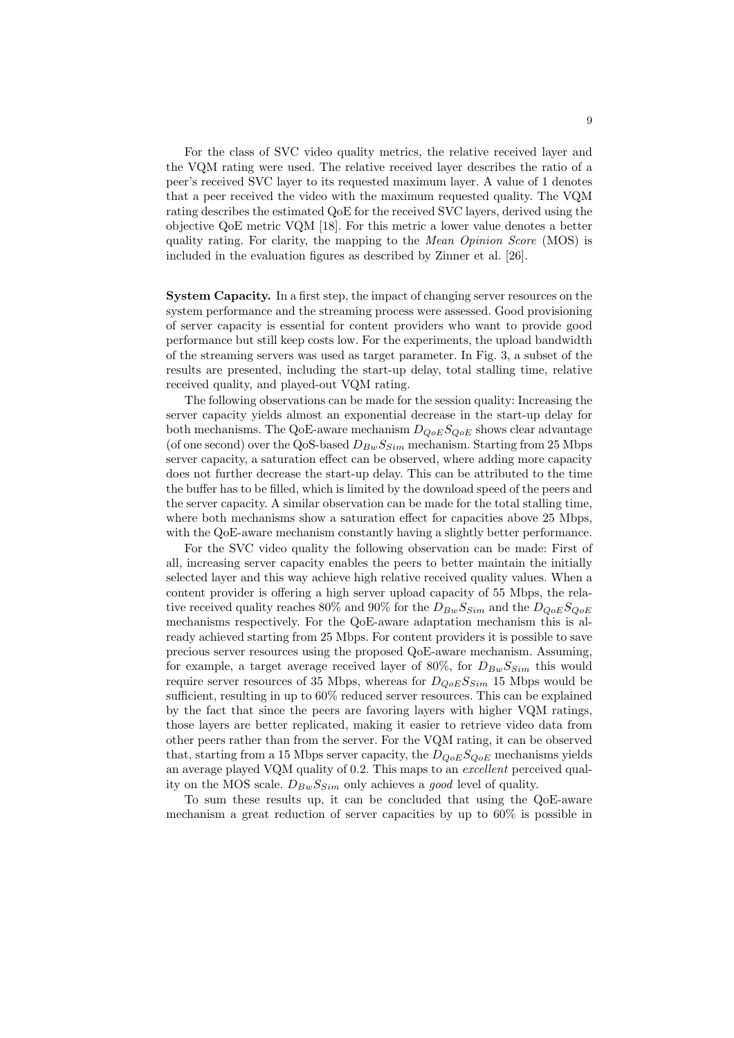For the class of SVC video quality metrics, the relative received layer and the VQM rating were used. The relative received layer describes the ratio of a peer's received SVC layer to its requested maximum layer. A value of 1 denotes that a peer received the video with the maximum requested quality. The VQM rating describes the estimated QoE for the received SVC layers, derived using the objective QoE metric VQM [\[18\]](#page-13-4). For this metric a lower value denotes a better quality rating. For clarity, the mapping to the *Mean Opinion Score* (MOS) is included in the evaluation figures as described by Zinner et al. [\[26\]](#page-13-8).

System Capacity. In a first step, the impact of changing server resources on the system performance and the streaming process were assessed. Good provisioning of server capacity is essential for content providers who want to provide good performance but still keep costs low. For the experiments, the upload bandwidth of the streaming servers was used as target parameter. In [Fig. 3,](#page-9-0) a subset of the results are presented, including the start-up delay, total stalling time, relative received quality, and played-out VQM rating.

The following observations can be made for the session quality: Increasing the server capacity yields almost an exponential decrease in the start-up delay for both mechanisms. The QoE-aware mechanism  $D_{OoE}S_{OoE}$  shows clear advantage (of one second) over the QoS-based  $D_{Bw}S_{Sim}$  mechanism. Starting from 25 Mbps server capacity, a saturation effect can be observed, where adding more capacity does not further decrease the start-up delay. This can be attributed to the time the buffer has to be filled, which is limited by the download speed of the peers and the server capacity. A similar observation can be made for the total stalling time, where both mechanisms show a saturation effect for capacities above 25 Mbps, with the QoE-aware mechanism constantly having a slightly better performance.

For the SVC video quality the following observation can be made: First of all, increasing server capacity enables the peers to better maintain the initially selected layer and this way achieve high relative received quality values. When a content provider is offering a high server upload capacity of 55 Mbps, the relative received quality reaches 80% and 90% for the  $D_{Bw}S_{Sim}$  and the  $D_{QoE}S_{QoE}$ mechanisms respectively. For the QoE-aware adaptation mechanism this is already achieved starting from 25 Mbps. For content providers it is possible to save precious server resources using the proposed QoE-aware mechanism. Assuming, for example, a target average received layer of 80%, for  $D_{Bw}S_{Sim}$  this would require server resources of 35 Mbps, whereas for  $D_{QoE}S_{Sim}$  15 Mbps would be sufficient, resulting in up to 60% reduced server resources. This can be explained by the fact that since the peers are favoring layers with higher VQM ratings, those layers are better replicated, making it easier to retrieve video data from other peers rather than from the server. For the VQM rating, it can be observed that, starting from a 15 Mbps server capacity, the  $D_{QoE}S_{QoE}$  mechanisms yields an average played VQM quality of 0.2. This maps to an excellent perceived quality on the MOS scale.  $D_{Bw}S_{Sim}$  only achieves a good level of quality.

To sum these results up, it can be concluded that using the QoE-aware mechanism a great reduction of server capacities by up to 60% is possible in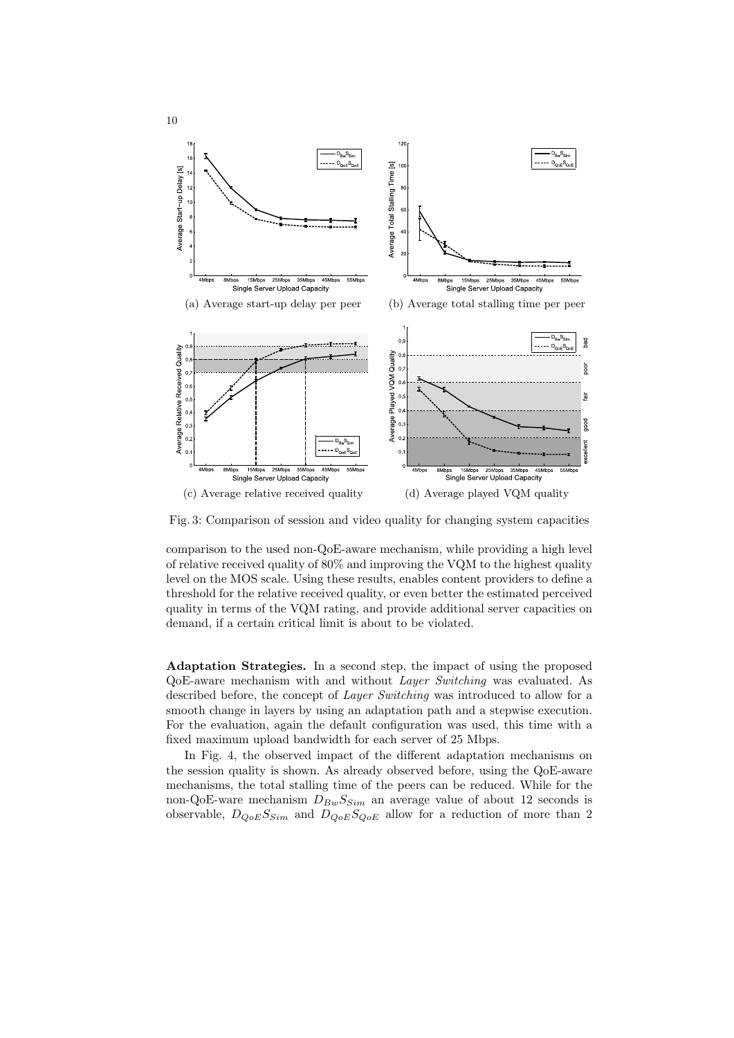<span id="page-9-0"></span>

Fig. 3: Comparison of session and video quality for changing system capacities

comparison to the used non-QoE-aware mechanism, while providing a high level of relative received quality of 80% and improving the VQM to the highest quality level on the MOS scale. Using these results, enables content providers to define a threshold for the relative received quality, or even better the estimated perceived quality in terms of the VQM rating, and provide additional server capacities on demand, if a certain critical limit is about to be violated.

Adaptation Strategies. In a second step, the impact of using the proposed QoE-aware mechanism with and without Layer Switching was evaluated. As described before, the concept of *Layer Switching* was introduced to allow for a smooth change in layers by using an adaptation path and a stepwise execution. For the evaluation, again the default configuration was used, this time with a fixed maximum upload bandwidth for each server of 25 Mbps.

In [Fig. 4,](#page-10-0) the observed impact of the different adaptation mechanisms on the session quality is shown. As already observed before, using the QoE-aware mechanisms, the total stalling time of the peers can be reduced. While for the non-QoE-ware mechanism  $D_{Bw}S_{Sim}$  an average value of about 12 seconds is observable,  $D_{QoE}S_{Sim}$  and  $D_{QoE}S_{QoE}$  allow for a reduction of more than 2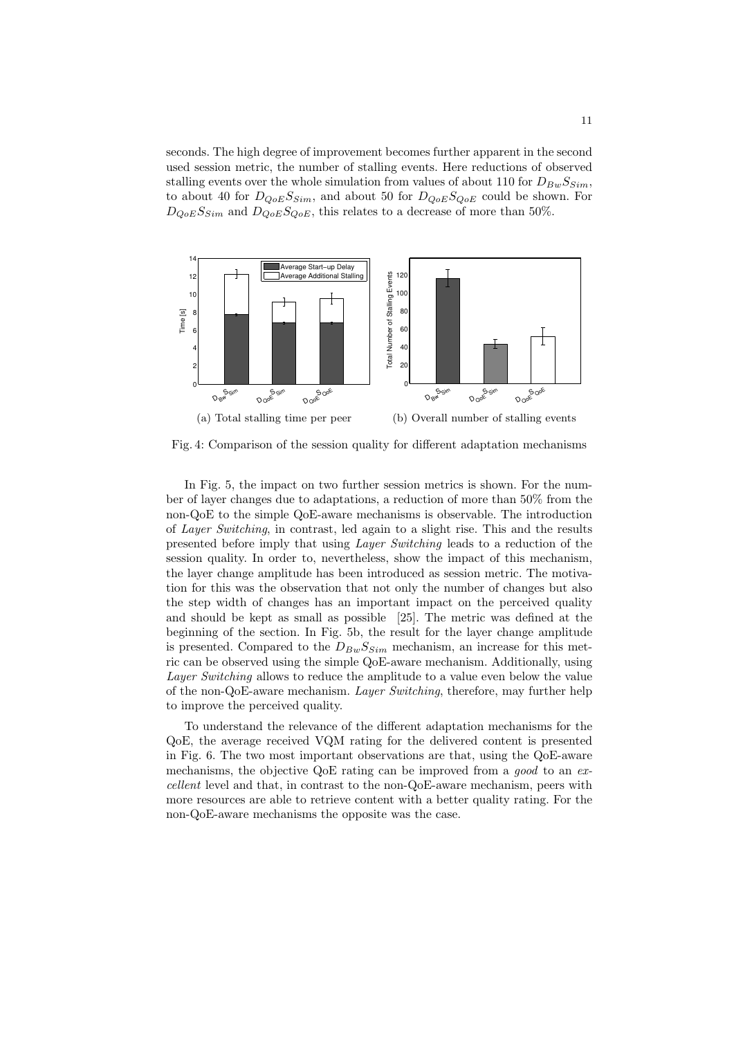seconds. The high degree of improvement becomes further apparent in the second used session metric, the number of stalling events. Here reductions of observed stalling events over the whole simulation from values of about 110 for  $D_{Bw}S_{Sim}$ , to about 40 for  $D_{QoE}S_{Sim}$ , and about 50 for  $D_{QoE}S_{QoE}$  could be shown. For  $D_{QoE}S_{Sim}$  and  $D_{QoE}S_{QoE}$ , this relates to a decrease of more than 50%.

<span id="page-10-0"></span>

Fig. 4: Comparison of the session quality for different adaptation mechanisms

In [Fig. 5,](#page-11-1) the impact on two further session metrics is shown. For the number of layer changes due to adaptations, a reduction of more than 50% from the non-QoE to the simple QoE-aware mechanisms is observable. The introduction of Layer Switching, in contrast, led again to a slight rise. This and the results presented before imply that using Layer Switching leads to a reduction of the session quality. In order to, nevertheless, show the impact of this mechanism, the layer change amplitude has been introduced as session metric. The motivation for this was the observation that not only the number of changes but also the step width of changes has an important impact on the perceived quality and should be kept as small as possible [\[25\]](#page-13-10). The metric was defined at the beginning of the section. In [Fig. 5b,](#page-11-2) the result for the layer change amplitude is presented. Compared to the  $D_{Bw}S_{Sim}$  mechanism, an increase for this metric can be observed using the simple QoE-aware mechanism. Additionally, using Layer Switching allows to reduce the amplitude to a value even below the value of the non-QoE-aware mechanism. Layer Switching, therefore, may further help to improve the perceived quality.

To understand the relevance of the different adaptation mechanisms for the QoE, the average received VQM rating for the delivered content is presented in [Fig. 6.](#page-11-3) The two most important observations are that, using the QoE-aware mechanisms, the objective QoE rating can be improved from a good to an excellent level and that, in contrast to the non-QoE-aware mechanism, peers with more resources are able to retrieve content with a better quality rating. For the non-QoE-aware mechanisms the opposite was the case.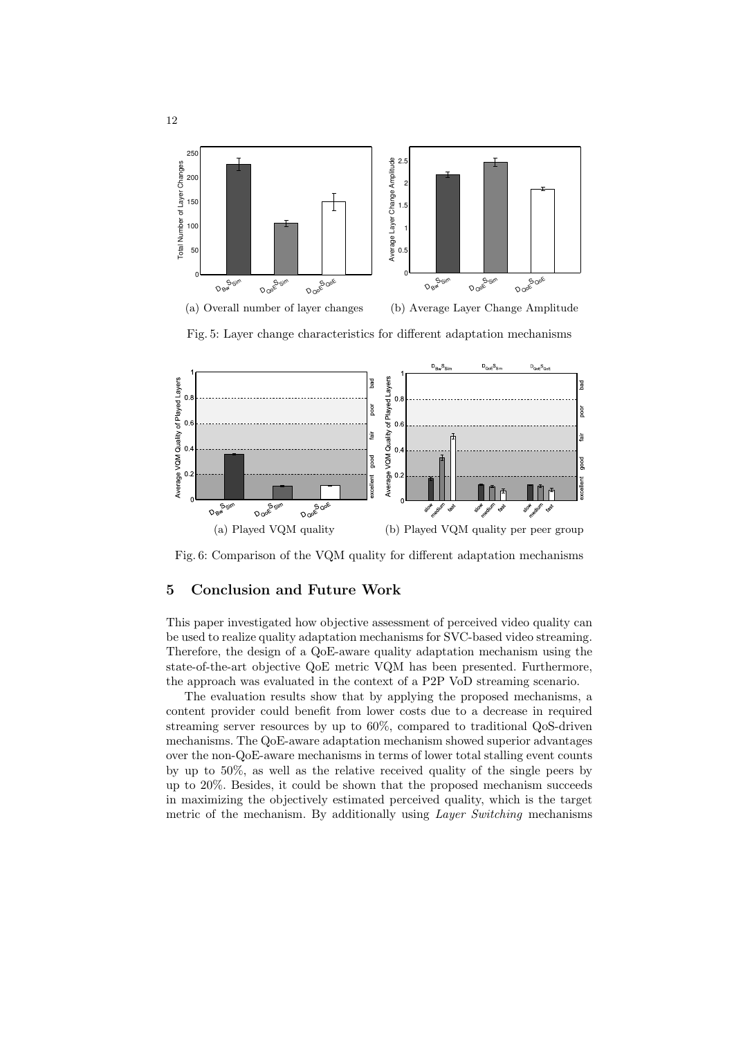<span id="page-11-1"></span>

<span id="page-11-2"></span>

Fig. 5: Layer change characteristics for different adaptation mechanisms

<span id="page-11-3"></span>

Fig. 6: Comparison of the VQM quality for different adaptation mechanisms

## <span id="page-11-0"></span>5 Conclusion and Future Work

This paper investigated how objective assessment of perceived video quality can be used to realize quality adaptation mechanisms for SVC-based video streaming. Therefore, the design of a QoE-aware quality adaptation mechanism using the state-of-the-art objective QoE metric VQM has been presented. Furthermore, the approach was evaluated in the context of a P2P VoD streaming scenario.

The evaluation results show that by applying the proposed mechanisms, a content provider could benefit from lower costs due to a decrease in required streaming server resources by up to 60%, compared to traditional QoS-driven mechanisms. The QoE-aware adaptation mechanism showed superior advantages over the non-QoE-aware mechanisms in terms of lower total stalling event counts by up to 50%, as well as the relative received quality of the single peers by up to 20%. Besides, it could be shown that the proposed mechanism succeeds in maximizing the objectively estimated perceived quality, which is the target metric of the mechanism. By additionally using Layer Switching mechanisms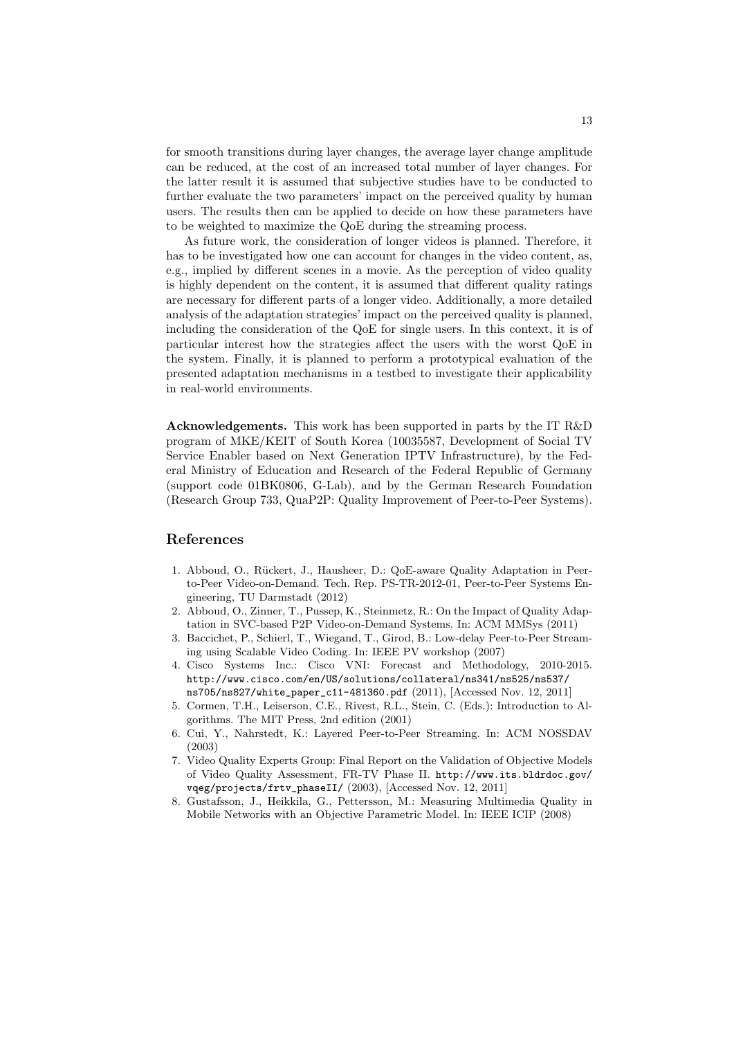for smooth transitions during layer changes, the average layer change amplitude can be reduced, at the cost of an increased total number of layer changes. For the latter result it is assumed that subjective studies have to be conducted to further evaluate the two parameters' impact on the perceived quality by human users. The results then can be applied to decide on how these parameters have to be weighted to maximize the QoE during the streaming process.

As future work, the consideration of longer videos is planned. Therefore, it has to be investigated how one can account for changes in the video content, as, e.g., implied by different scenes in a movie. As the perception of video quality is highly dependent on the content, it is assumed that different quality ratings are necessary for different parts of a longer video. Additionally, a more detailed analysis of the adaptation strategies' impact on the perceived quality is planned, including the consideration of the QoE for single users. In this context, it is of particular interest how the strategies affect the users with the worst QoE in the system. Finally, it is planned to perform a prototypical evaluation of the presented adaptation mechanisms in a testbed to investigate their applicability in real-world environments.

Acknowledgements. This work has been supported in parts by the IT R&D program of MKE/KEIT of South Korea (10035587, Development of Social TV Service Enabler based on Next Generation IPTV Infrastructure), by the Federal Ministry of Education and Research of the Federal Republic of Germany (support code 01BK0806, G-Lab), and by the German Research Foundation (Research Group 733, QuaP2P: Quality Improvement of Peer-to-Peer Systems).

## References

- <span id="page-12-6"></span>1. Abboud, O., Rückert, J., Hausheer, D.: QoE-aware Quality Adaptation in Peerto-Peer Video-on-Demand. Tech. Rep. PS-TR-2012-01, Peer-to-Peer Systems Engineering, TU Darmstadt (2012)
- <span id="page-12-3"></span>2. Abboud, O., Zinner, T., Pussep, K., Steinmetz, R.: On the Impact of Quality Adaptation in SVC-based P2P Video-on-Demand Systems. In: ACM MMSys (2011)
- <span id="page-12-2"></span>3. Baccichet, P., Schierl, T., Wiegand, T., Girod, B.: Low-delay Peer-to-Peer Streaming using Scalable Video Coding. In: IEEE PV workshop (2007)
- <span id="page-12-0"></span>4. Cisco Systems Inc.: Cisco VNI: Forecast and Methodology, 2010-2015. [http://www.cisco.com/en/US/solutions/collateral/ns341/ns525/ns537/](http://www.cisco.com/en/US/solutions/collateral/ns341/ns525/ns537/ns705/ns827/white_paper_c11-481360.pdf) [ns705/ns827/white\\_paper\\_c11-481360.pdf](http://www.cisco.com/en/US/solutions/collateral/ns341/ns525/ns537/ns705/ns827/white_paper_c11-481360.pdf) (2011), [Accessed Nov. 12, 2011]
- <span id="page-12-7"></span>5. Cormen, T.H., Leiserson, C.E., Rivest, R.L., Stein, C. (Eds.): Introduction to Algorithms. The MIT Press, 2nd edition (2001)
- <span id="page-12-1"></span>6. Cui, Y., Nahrstedt, K.: Layered Peer-to-Peer Streaming. In: ACM NOSSDAV (2003)
- <span id="page-12-5"></span>7. Video Quality Experts Group: Final Report on the Validation of Objective Models of Video Quality Assessment, FR-TV Phase II. [http://www.its.bldrdoc.gov/](http://www.its.bldrdoc.gov/vqeg/projects/frtv_phaseII/) [vqeg/projects/frtv\\_phaseII/](http://www.its.bldrdoc.gov/vqeg/projects/frtv_phaseII/) (2003), [Accessed Nov. 12, 2011]
- <span id="page-12-4"></span>8. Gustafsson, J., Heikkila, G., Pettersson, M.: Measuring Multimedia Quality in Mobile Networks with an Objective Parametric Model. In: IEEE ICIP (2008)